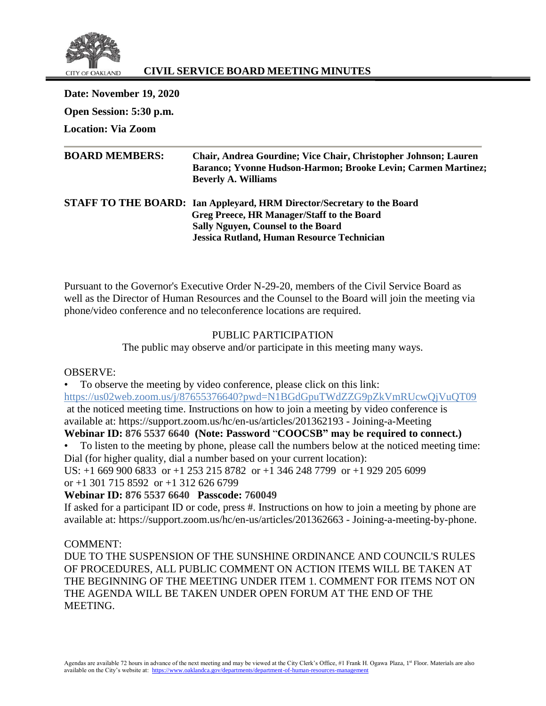

# **CIVIL SERVICE BOARD MEETING MINUTES**

**Date: November 19, 2020 Open Session: 5:30 p.m. Location: Via Zoom**

| <b>BOARD MEMBERS:</b> | Chair, Andrea Gourdine; Vice Chair, Christopher Johnson; Lauren               |
|-----------------------|-------------------------------------------------------------------------------|
|                       | Baranco; Yvonne Hudson-Harmon; Brooke Levin; Carmen Martinez;                 |
|                       | <b>Beverly A. Williams</b>                                                    |
|                       | <b>STAFF TO THE BOARD:</b> Ian Appleyard, HRM Director/Secretary to the Board |
|                       | Greg Preece, HR Manager/Staff to the Board                                    |
|                       | <b>Sally Nguyen, Counsel to the Board</b>                                     |
|                       | Jessica Rutland, Human Resource Technician                                    |

Pursuant to the Governor's Executive Order N-29-20, members of the Civil Service Board as well as the Director of Human Resources and the Counsel to the Board will join the meeting via phone/video conference and no teleconference locations are required.

## PUBLIC PARTICIPATION

The public may observe and/or participate in this meeting many ways.

#### OBSERVE:

• To observe the meeting by video conference, please click on this link:

<https://us02web.zoom.us/j/87655376640?pwd=N1BGdGpuTWdZZG9pZkVmRUcwQjVuQT09>

at the noticed meeting time. Instructions on how to join a meeting by video conference is available at: https://support.zoom.us/hc/en-us/articles/201362193 - Joining-a-Meeting

# **Webinar ID: 876 5537 6640 (Note: Password** "**COOCSB" may be required to connect.)**

• To listen to the meeting by phone, please call the numbers below at the noticed meeting time: Dial (for higher quality, dial a number based on your current location):

US: +1 669 900 6833 or +1 253 215 8782 or +1 346 248 7799 or +1 929 205 6099 or  $+1$  301 715 8592 or  $+1$  312 626 6799

## **Webinar ID: 876 5537 6640 Passcode: 760049**

If asked for a participant ID or code, press #. Instructions on how to join a meeting by phone are available at: https://support.zoom.us/hc/en-us/articles/201362663 - Joining-a-meeting-by-phone.

## COMMENT:

DUE TO THE SUSPENSION OF THE SUNSHINE ORDINANCE AND COUNCIL'S RULES OF PROCEDURES, ALL PUBLIC COMMENT ON ACTION ITEMS WILL BE TAKEN AT THE BEGINNING OF THE MEETING UNDER ITEM 1. COMMENT FOR ITEMS NOT ON THE AGENDA WILL BE TAKEN UNDER OPEN FORUM AT THE END OF THE MEETING.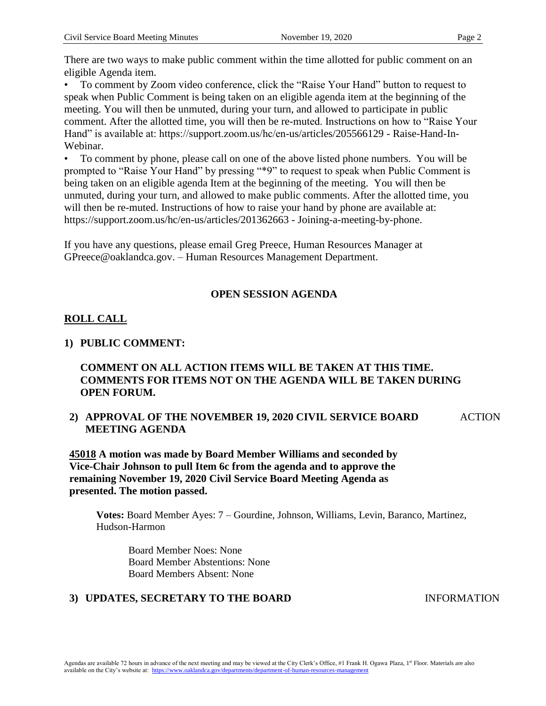There are two ways to make public comment within the time allotted for public comment on an eligible Agenda item.

• To comment by Zoom video conference, click the "Raise Your Hand" button to request to speak when Public Comment is being taken on an eligible agenda item at the beginning of the meeting. You will then be unmuted, during your turn, and allowed to participate in public comment. After the allotted time, you will then be re-muted. Instructions on how to "Raise Your Hand" is available at: https://support.zoom.us/hc/en-us/articles/205566129 - Raise-Hand-In-Webinar.

• To comment by phone, please call on one of the above listed phone numbers. You will be prompted to "Raise Your Hand" by pressing "\*9" to request to speak when Public Comment is being taken on an eligible agenda Item at the beginning of the meeting. You will then be unmuted, during your turn, and allowed to make public comments. After the allotted time, you will then be re-muted. Instructions of how to raise your hand by phone are available at: https://support.zoom.us/hc/en-us/articles/201362663 - Joining-a-meeting-by-phone.

If you have any questions, please email Greg Preece, Human Resources Manager at GPreece@oaklandca.gov. – Human Resources Management Department.

# **OPEN SESSION AGENDA**

# **ROLL CALL**

## **1) PUBLIC COMMENT:**

# **COMMENT ON ALL ACTION ITEMS WILL BE TAKEN AT THIS TIME. COMMENTS FOR ITEMS NOT ON THE AGENDA WILL BE TAKEN DURING OPEN FORUM.**

**2) APPROVAL OF THE NOVEMBER 19, 2020 CIVIL SERVICE BOARD MEETING AGENDA** ACTION

**45018 A motion was made by Board Member Williams and seconded by Vice-Chair Johnson to pull Item 6c from the agenda and to approve the remaining November 19, 2020 Civil Service Board Meeting Agenda as presented. The motion passed.**

**Votes:** Board Member Ayes: 7 – Gourdine, Johnson, Williams, Levin, Baranco, Martinez, Hudson-Harmon

Board Member Noes: None Board Member Abstentions: None Board Members Absent: None

# **3) UPDATES, SECRETARY TO THE BOARD** INFORMATION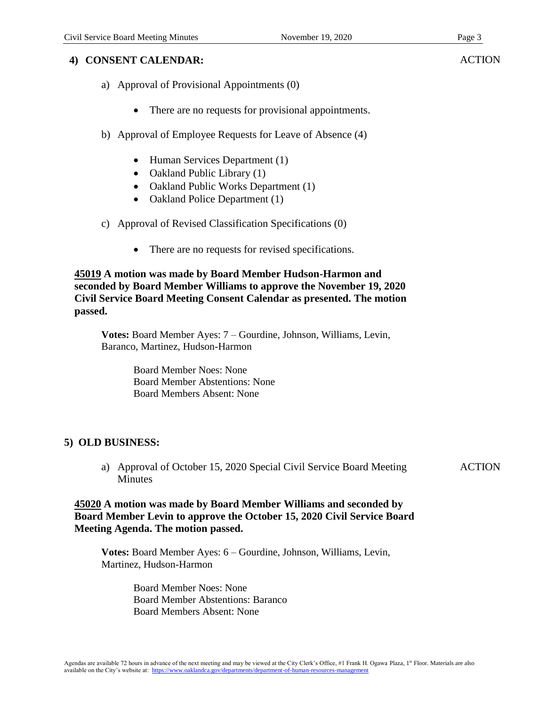## **4) CONSENT CALENDAR:**

- a) Approval of Provisional Appointments (0)
	- There are no requests for provisional appointments.
- b) Approval of Employee Requests for Leave of Absence (4)
	- Human Services Department (1)
	- Oakland Public Library (1)
	- Oakland Public Works Department (1)
	- Oakland Police Department (1)
- c) Approval of Revised Classification Specifications (0)
	- There are no requests for revised specifications.

#### **45019 A motion was made by Board Member Hudson-Harmon and seconded by Board Member Williams to approve the November 19, 2020 Civil Service Board Meeting Consent Calendar as presented. The motion passed.**

**Votes:** Board Member Ayes: 7 – Gourdine, Johnson, Williams, Levin, Baranco, Martinez, Hudson-Harmon

> Board Member Noes: None Board Member Abstentions: None Board Members Absent: None

## **5) OLD BUSINESS:**

a) Approval of October 15, 2020 Special Civil Service Board Meeting **Minutes ACTION** 

### **45020 A motion was made by Board Member Williams and seconded by Board Member Levin to approve the October 15, 2020 Civil Service Board Meeting Agenda. The motion passed.**

**Votes:** Board Member Ayes: 6 – Gourdine, Johnson, Williams, Levin, Martinez, Hudson-Harmon

> Board Member Noes: None Board Member Abstentions: Baranco Board Members Absent: None

**ACTION**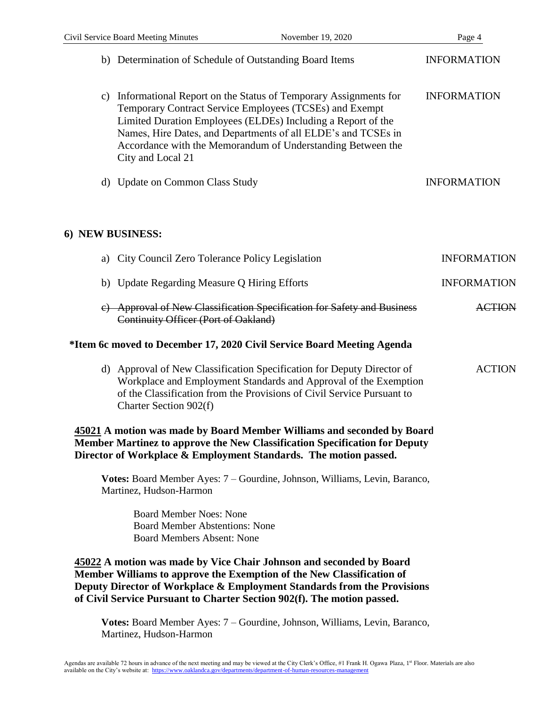| b) Determination of Schedule of Outstanding Board Items                                                                                                                                                                                                                                                                                               | <b>INFORMATION</b> |
|-------------------------------------------------------------------------------------------------------------------------------------------------------------------------------------------------------------------------------------------------------------------------------------------------------------------------------------------------------|--------------------|
| Informational Report on the Status of Temporary Assignments for<br>C)<br>Temporary Contract Service Employees (TCSEs) and Exempt<br>Limited Duration Employees (ELDEs) Including a Report of the<br>Names, Hire Dates, and Departments of all ELDE's and TCSEs in<br>Accordance with the Memorandum of Understanding Between the<br>City and Local 21 | <b>INFORMATION</b> |
| <b>Update on Common Class Study</b><br>d)                                                                                                                                                                                                                                                                                                             | <b>INFORMATION</b> |
| 6) NEW BUSINESS:                                                                                                                                                                                                                                                                                                                                      |                    |
| City Council Zero Tolerance Policy Legislation<br>a)                                                                                                                                                                                                                                                                                                  | <b>INFORMATION</b> |
| b) Update Regarding Measure Q Hiring Efforts                                                                                                                                                                                                                                                                                                          | <b>INFORMATION</b> |
| e) Approval of New Classification Specification for Safety and Business<br>Continuity Officer (Port of Oakland)                                                                                                                                                                                                                                       | <b>ACTION</b>      |
| *Item 6c moved to December 17, 2020 Civil Service Board Meeting Agenda                                                                                                                                                                                                                                                                                |                    |
| d) Approval of New Classification Specification for Deputy Director of<br>Workplace and Employment Standards and Approval of the Exemption<br>of the Classification from the Provisions of Civil Service Pursuant to<br>Charter Section 902(f)                                                                                                        | <b>ACTION</b>      |
| 45021 A motion was made by Board Member Williams and seconded by Board<br>Member Martinez to approve the New Classification Specification for Deputy<br>Director of Workplace & Employment Standards. The motion passed.                                                                                                                              |                    |
| Votes: Board Member Ayes: 7 – Gourdine, Johnson, Williams, Levin, Baranco,<br>Martinez, Hudson-Harmon                                                                                                                                                                                                                                                 |                    |
| <b>Board Member Noes: None</b><br><b>Board Member Abstentions: None</b><br><b>Board Members Absent: None</b>                                                                                                                                                                                                                                          |                    |
| 45022 A motion was made by Vice Chair Johnson and seconded by Board<br>Member Williams to approve the Exemption of the New Classification of<br>Deputy Director of Workplace & Employment Standards from the Provisions<br>of Civil Service Pursuant to Charter Section 902(f). The motion passed.                                                    |                    |

**Votes:** Board Member Ayes: 7 – Gourdine, Johnson, Williams, Levin, Baranco, Martinez, Hudson-Harmon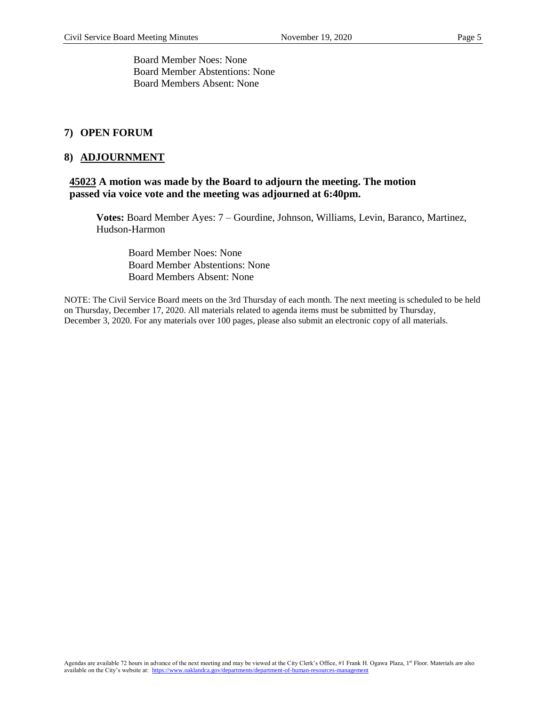Board Member Noes: None Board Member Abstentions: None Board Members Absent: None

#### **7) OPEN FORUM**

#### **8) ADJOURNMENT**

### **45023 A motion was made by the Board to adjourn the meeting. The motion passed via voice vote and the meeting was adjourned at 6:40pm.**

**Votes:** Board Member Ayes: 7 – Gourdine, Johnson, Williams, Levin, Baranco, Martinez, Hudson-Harmon

Board Member Noes: None Board Member Abstentions: None Board Members Absent: None

NOTE: The Civil Service Board meets on the 3rd Thursday of each month. The next meeting is scheduled to be held on Thursday, December 17, 2020. All materials related to agenda items must be submitted by Thursday, December 3, 2020. For any materials over 100 pages, please also submit an electronic copy of all materials.